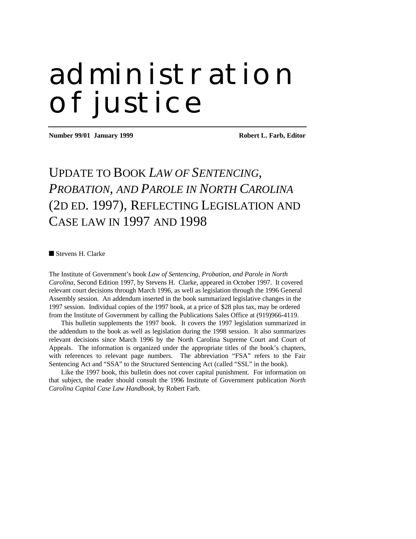# administration of justice

**Number 99/01 January 1999 Robert L. Farb, Editor** 

# UPDATE TO BOOK *LAW OF SENTENCING, PROBATION, AND PAROLE IN NORTH CAROLINA* (2D ED. 1997), REFLECTING LEGISLATION AND CASE LAW IN 1997 AND 1998

■ Stevens H. Clarke

The Institute of Government's book *Law of Sentencing, Probation, and Parole in North Carolina*, Second Edition 1997, by Stevens H. Clarke, appeared in October 1997. It covered relevant court decisions through March 1996, as well as legislation through the 1996 General Assembly session. An addendum inserted in the book summarized legislative changes in the 1997 session. Individual copies of the 1997 book, at a price of \$28 plus tax, may be ordered from the Institute of Government by calling the Publications Sales Office at (919)966-4119.

This bulletin supplements the 1997 book. It covers the 1997 legislation summarized in the addendum to the book as well as legislation during the 1998 session. It also summarizes relevant decisions since March 1996 by the North Carolina Supreme Court and Court of Appeals. The information is organized under the appropriate titles of the book's chapters, with references to relevant page numbers. The abbreviation "FSA" refers to the Fair Sentencing Act and "SSA" to the Structured Sentencing Act (called "SSL" in the book).

Like the 1997 book, this bulletin does not cover capital punishment. For information on that subject, the reader should consult the 1996 Institute of Government publication *North Carolina Capital Case Law Handbook*, by Robert Farb.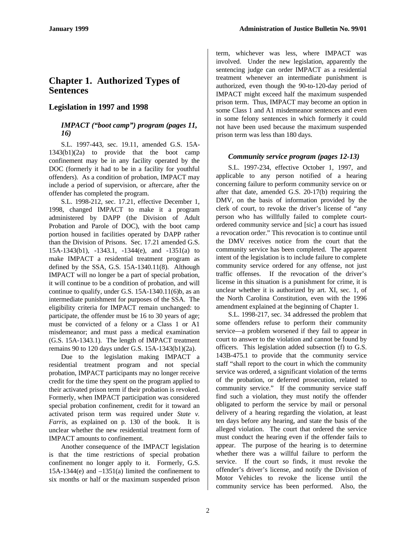# **Chapter 1. Authorized Types of Sentences**

## **Legislation in 1997 and 1998**

#### *IMPACT ("boot camp") program (pages 11, 16)*

S.L. 1997-443, sec. 19.11, amended G.S. 15A-1343(b1)(2a) to provide that the boot camp confinement may be in any facility operated by the DOC (formerly it had to be in a facility for youthful offenders). As a condition of probation, IMPACT may include a period of supervision, or aftercare, after the offender has completed the program.

S.L. 1998-212, sec. 17.21, effective December 1, 1998, changed IMPACT to make it a program administered by DAPP (the Division of Adult Probation and Parole of DOC), with the boot camp portion housed in facilities operated by DAPP rather than the Division of Prisons. Sec. 17.21 amended G.S. 15A-1343(b1), -1343.1, -1344(e), and -1351(a) to make IMPACT a residential treatment program as defined by the SSA, G.S. 15A-1340.11(8). Although IMPACT will no longer be a part of special probation, it will continue to be a condition of probation, and will continue to qualify, under G.S. 15A-1340.11(6)b, as an intermediate punishment for purposes of the SSA. The eligibility criteria for IMPACT remain unchanged: to participate, the offender must be 16 to 30 years of age; must be convicted of a felony or a Class 1 or A1 misdemeanor; and must pass a medical examination (G.S. 15A-1343.1). The length of IMPACT treatment remains 90 to 120 days under G.S. 15A-1343(b1)(2a).

Due to the legislation making IMPACT a residential treatment program and not special probation, IMPACT participants may no longer receive credit for the time they spent on the program applied to their activated prison term if their probation is revoked. Formerly, when IMPACT participation was considered special probation confinement, credit for it toward an activated prison term was required under *State v. Farris*, as explained on p. 130 of the book. It is unclear whether the new residential treatment form of IMPACT amounts to confinement.

Another consequence of the IMPACT legislation is that the time restrictions of special probation confinement no longer apply to it. Formerly, G.S.  $15A-1344(e)$  and  $-1351(a)$  limited the confinement to six months or half or the maximum suspended prison

term, whichever was less, where IMPACT was involved. Under the new legislation, apparently the sentencing judge can order IMPACT as a residential treatment whenever an intermediate punishment is authorized, even though the 90-to-120-day period of IMPACT might exceed half the maximum suspended prison term. Thus, IMPACT may become an option in some Class 1 and A1 misdemeanor sentences and even in some felony sentences in which formerly it could not have been used because the maximum suspended prison term was less than 180 days.

#### *Community service program (pages 12-13)*

S.L. 1997-234, effective October 1, 1997, and applicable to any person notified of a hearing concerning failure to perform community service on or after that date, amended G.S. 20-17(b) requiring the DMV, on the basis of information provided by the clerk of court, to revoke the driver's license of "any person who has willfully failed to complete courtordered community service and [sic] a court has issued a revocation order." This revocation is to continue until the DMV receives notice from the court that the community service has been completed. The apparent intent of the legislation is to include failure to complete community service ordered for any offense, not just traffic offenses. If the revocation of the driver's license in this situation is a punishment for crime, it is unclear whether it is authorized by art. XI, sec. 1, of the North Carolina Constitution, even with the 1996 amendment explained at the beginning of Chapter 1.

S.L. 1998-217, sec. 34 addressed the problem that some offenders refuse to perform their community service—a problem worsened if they fail to appear in court to answer to the violation and cannot be found by officers. This legislation added subsection (f) to G.S. 143B-475.1 to provide that the community service staff "shall report to the court in which the community service was ordered, a significant violation of the terms of the probation, or deferred prosecution, related to community service." If the community service staff find such a violation, they must notify the offender obligated to perform the service by mail or personal delivery of a hearing regarding the violation, at least ten days before any hearing, and state the basis of the alleged violation. The court that ordered the service must conduct the hearing even if the offender fails to appear. The purpose of the hearing is to determine whether there was a willful failure to perform the service. If the court so finds, it must revoke the offender's driver's license, and notify the Division of Motor Vehicles to revoke the license until the community service has been performed. Also, the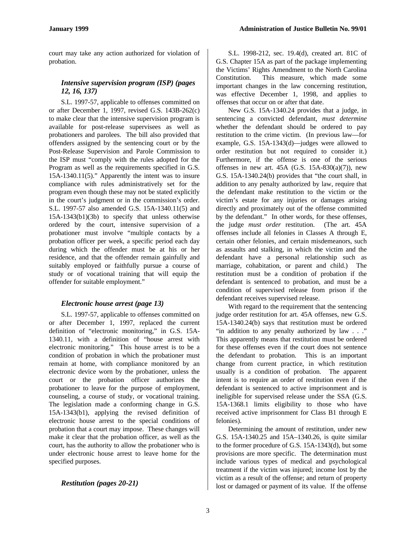court may take any action authorized for violation of probation.

#### *Intensive supervision program (ISP) (pages 12, 16, 137)*

S.L. 1997-57, applicable to offenses committed on or after December 1, 1997, revised G.S. 143B-262(c) to make clear that the intensive supervision program is available for post-release supervisees as well as probationers and parolees. The bill also provided that offenders assigned by the sentencing court or by the Post-Release Supervision and Parole Commission to the ISP must "comply with the rules adopted for the Program as well as the requirements specified in G.S. 15A-1340.11(5)." Apparently the intent was to insure compliance with rules administratively set for the program even though these may not be stated explicitly in the court's judgment or in the commission's order. S.L. 1997-57 also amended G.S. 15A-1340.11(5) and 15A-1343(b1)(3b) to specify that unless otherwise ordered by the court, intensive supervision of a probationer must involve "multiple contacts by a probation officer per week, a specific period each day during which the offender must be at his or her residence, and that the offender remain gainfully and suitably employed or faithfully pursue a course of study or of vocational training that will equip the offender for suitable employment."

#### *Electronic house arrest (page 13)*

S.L. 1997-57, applicable to offenses committed on or after December 1, 1997, replaced the current definition of "electronic monitoring," in G.S. 15A-1340.11, with a definition of "house arrest with electronic monitoring." This house arrest is to be a condition of probation in which the probationer must remain at home, with compliance monitored by an electronic device worn by the probationer, unless the court or the probation officer authorizes the probationer to leave for the purpose of employment, counseling, a course of study, or vocational training. The legislation made a conforming change in G.S. 15A-1343(b1), applying the revised definition of electronic house arrest to the special conditions of probation that a court may impose. These changes will make it clear that the probation officer, as well as the court, has the authority to allow the probationer who is under electronic house arrest to leave home for the specified purposes.

#### *Restitution (pages 20-21)*

S.L. 1998-212, sec. 19.4(d), created art. 81C of G.S. Chapter 15A as part of the package implementing the Victims' Rights Amendment to the North Carolina Constitution. This measure, which made some important changes in the law concerning restitution, was effective December 1, 1998, and applies to offenses that occur on or after that date.

New G.S. 15A-1340.24 provides that a judge, in sentencing a convicted defendant, *must determine* whether the defendant should be ordered to pay restitution to the crime victim. (In previous law—for example, G.S. 15A-1343(d)—judges were allowed to order restitution but not required to consider it.) Furthermore, if the offense is one of the serious offenses in new art.  $45A$  (G.S.  $15A-830(a)(7)$ ), new G.S. 15A-1340.24(b) provides that "the court shall, in addition to any penalty authorized by law, require that the defendant make restitution to the victim or the victim's estate for any injuries or damages arising directly and proximately out of the offense committed by the defendant." In other words, for these offenses, the judge *must order* restitution. (The art. 45A offenses include all felonies in Classes A through E, certain other felonies, and certain misdemeanors, such as assaults and stalking, in which the victim and the defendant have a personal relationship such as marriage, cohabitation, or parent and child.) The restitution must be a condition of probation if the defendant is sentenced to probation, and must be a condition of supervised release from prison if the defendant receives supervised release.

With regard to the requirement that the sentencing judge order restitution for art. 45A offenses, new G.S. 15A-1340.24(b) says that restitution must be ordered "in addition to any penalty authorized by law . . ." This apparently means that restitution must be ordered for these offenses even if the court does not sentence the defendant to probation. This is an important change from current practice, in which restitution usually is a condition of probation. The apparent intent is to require an order of restitution even if the defendant is sentenced to active imprisonment and is ineligible for supervised release under the SSA (G.S. 15A-1368.1 limits eligibility to those who have received active imprisonment for Class B1 through E felonies).

Determining the amount of restitution, under new G.S. 15A-1340.25 and 15A–1340.26, is quite similar to the former procedure of G.S. 15A-1343(d), but some provisions are more specific. The determination must include various types of medical and psychological treatment if the victim was injured; income lost by the victim as a result of the offense; and return of property lost or damaged or payment of its value. If the offense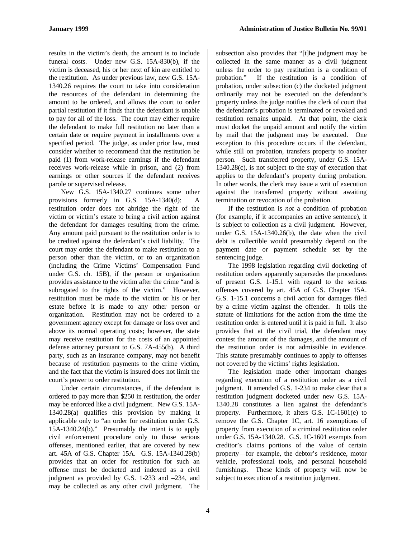results in the victim's death, the amount is to include funeral costs. Under new G.S. 15A-830(b), if the victim is deceased, his or her next of kin are entitled to the restitution. As under previous law, new G.S. 15A-1340.26 requires the court to take into consideration the resources of the defendant in determining the amount to be ordered, and allows the court to order partial restitution if it finds that the defendant is unable to pay for all of the loss. The court may either require the defendant to make full restitution no later than a certain date or require payment in installments over a specified period. The judge, as under prior law, must consider whether to recommend that the restitution be paid (1) from work-release earnings if the defendant receives work-release while in prison, and (2) from earnings or other sources if the defendant receives parole or supervised release.

New G.S. 15A-1340.27 continues some other provisions formerly in G.S. 15A-1340(d): A restitution order does not abridge the right of the victim or victim's estate to bring a civil action against the defendant for damages resulting from the crime. Any amount paid pursuant to the restitution order is to be credited against the defendant's civil liability. The court may order the defendant to make restitution to a person other than the victim, or to an organization (including the Crime Victims' Compensation Fund under G.S. ch. 15B), if the person or organization provides assistance to the victim after the crime "and is subrogated to the rights of the victim." However, restitution must be made to the victim or his or her estate before it is made to any other person or organization. Restitution may not be ordered to a government agency except for damage or loss over and above its normal operating costs; however, the state may receive restitution for the costs of an appointed defense attorney pursuant to G.S. 7A-455(b). A third party, such as an insurance company, may not benefit because of restitution payments to the crime victim, and the fact that the victim is insured does not limit the court's power to order restitution.

Under certain circumstances, if the defendant is ordered to pay more than \$250 in restitution, the order may be enforced like a civil judgment. New G.S. 15A-1340.28(a) qualifies this provision by making it applicable only to "an order for restitution under G.S. 15A-1340.24(b)." Presumably the intent is to apply civil enforcement procedure only to those serious offenses, mentioned earlier, that are covered by new art. 45A of G.S. Chapter 15A. G.S. 15A-1340.28(b) provides that an order for restitution for such an offense must be docketed and indexed as a civil judgment as provided by G.S. 1-233 and –234, and may be collected as any other civil judgment. The

subsection also provides that "[t]he judgment may be collected in the same manner as a civil judgment unless the order to pay restitution is a condition of probation." If the restitution is a condition of probation, under subsection (c) the docketed judgment ordinarily may not be executed on the defendant's property unless the judge notifies the clerk of court that the defendant's probation is terminated or revoked and restitution remains unpaid. At that point, the clerk must docket the unpaid amount and notify the victim by mail that the judgment may be executed. One exception to this procedure occurs if the defendant, while still on probation, transfers property to another person. Such transferred property, under G.S. 15A-1340.28(c), is not subject to the stay of execution that applies to the defendant's property during probation. In other words, the clerk may issue a writ of execution against the transferred property without awaiting termination or revocation of the probation.

If the restitution is *not* a condition of probation (for example, if it accompanies an active sentence), it is subject to collection as a civil judgment. However, under G.S. 15A-1340.26(b), the date when the civil debt is collectible would presumably depend on the payment date or payment schedule set by the sentencing judge.

The 1998 legislation regarding civil docketing of restitution orders apparently supersedes the procedures of present G.S. 1-15.1 with regard to the serious offenses covered by art. 45A of G.S. Chapter 15A. G.S. 1-15.1 concerns a civil action for damages filed by a crime victim against the offender. It tolls the statute of limitations for the action from the time the restitution order is entered until it is paid in full. It also provides that at the civil trial, the defendant may contest the amount of the damages, and the amount of the restitution order is not admissible in evidence. This statute presumably continues to apply to offenses not covered by the victims' rights legislation.

The legislation made other important changes regarding execution of a restitution order as a civil judgment. It amended G.S. 1-234 to make clear that a restitution judgment docketed under new G.S. 15A-1340.28 constitutes a lien against the defendant's property. Furthermore, it alters G.S. 1C-1601(e) to remove the G.S. Chapter 1C, art. 16 exemptions of property from execution of a criminal restitution order under G.S. 15A-1340.28. G.S. 1C-1601 exempts from creditor's claims portions of the value of certain property—for example, the debtor's residence, motor vehicle, professional tools, and personal household furnishings. These kinds of property will now be subject to execution of a restitution judgment.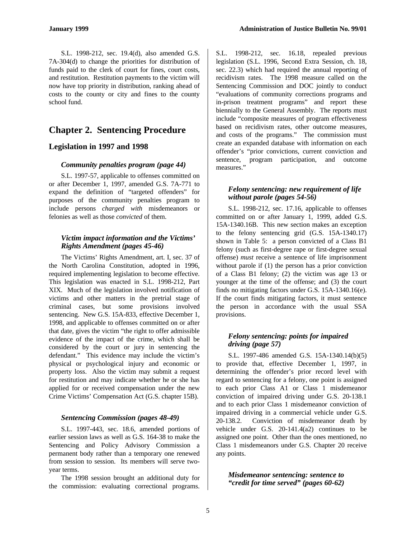S.L. 1998-212, sec. 19.4(d), also amended G.S. 7A-304(d) to change the priorities for distribution of funds paid to the clerk of court for fines, court costs, and restitution. Restitution payments to the victim will now have top priority in distribution, ranking ahead of costs to the county or city and fines to the county school fund.

# **Chapter 2. Sentencing Procedure**

#### **Legislation in 1997 and 1998**

#### *Community penalties program (page 44)*

S.L. 1997-57, applicable to offenses committed on or after December 1, 1997, amended G.S. 7A-771 to expand the definition of "targeted offenders" for purposes of the community penalties program to include persons *charged with* misdemeanors or felonies as well as those *convicted* of them.

#### *Victim impact information and the Victims' Rights Amendment (pages 45-46)*

The Victims' Rights Amendment, art. I, sec. 37 of the North Carolina Constitution, adopted in 1996, required implementing legislation to become effective. This legislation was enacted in S.L. 1998-212, Part XIX. Much of the legislation involved notification of victims and other matters in the pretrial stage of criminal cases, but some provisions involved sentencing. New G.S. 15A-833, effective December 1, 1998, and applicable to offenses committed on or after that date, gives the victim "the right to offer admissible evidence of the impact of the crime, which shall be considered by the court or jury in sentencing the defendant." This evidence may include the victim's physical or psychological injury and economic or property loss. Also the victim may submit a request for restitution and may indicate whether he or she has applied for or received compensation under the new Crime Victims' Compensation Act (G.S. chapter 15B).

#### *Sentencing Commission (pages 48-49)*

S.L. 1997-443, sec. 18.6, amended portions of earlier session laws as well as G.S. 164-38 to make the Sentencing and Policy Advisory Commission a permanent body rather than a temporary one renewed from session to session. Its members will serve twoyear terms.

The 1998 session brought an additional duty for the commission: evaluating correctional programs. S.L. 1998-212, sec. 16.18, repealed previous legislation (S.L. 1996, Second Extra Session, ch. 18, sec. 22.3) which had required the annual reporting of recidivism rates. The 1998 measure called on the Sentencing Commission and DOC jointly to conduct "evaluations of community corrections programs and in-prison treatment programs" and report these biennially to the General Assembly. The reports must include "composite measures of program effectiveness based on recidivism rates, other outcome measures, and costs of the programs." The commission must create an expanded database with information on each offender's "prior convictions, current conviction and sentence, program participation, and outcome measures."

#### *Felony sentencing: new requirement of life without parole (pages 54-56)*

S.L. 1998-212, sec. 17.16, applicable to offenses committed on or after January 1, 1999, added G.S. 15A-1340.16B. This new section makes an exception to the felony sentencing grid (G.S. 15A-1340.17) shown in Table 5: a person convicted of a Class B1 felony (such as first-degree rape or first-degree sexual offense) *must* receive a sentence of life imprisonment without parole if  $(1)$  the person has a prior conviction of a Class B1 felony; (2) the victim was age 13 or younger at the time of the offense; and (3) the court finds no mitigating factors under G.S. 15A-1340.16(e). If the court finds mitigating factors, it must sentence the person in accordance with the usual SSA provisions.

#### *Felony sentencing: points for impaired driving (page 57)*

S.L. 1997-486 amended G.S. 15A-1340.14(b)(5) to provide that, effective December 1, 1997, in determining the offender's prior record level with regard to sentencing for a felony, one point is assigned to each prior Class A1 or Class 1 misdemeanor conviction of impaired driving under G.S. 20-138.1 and to each prior Class 1 misdemeanor conviction of impaired driving in a commercial vehicle under G.S. 20-138.2. Conviction of misdemeanor death by vehicle under G.S. 20-141.4(a2) continues to be assigned one point. Other than the ones mentioned, no Class 1 misdemeanors under G.S. Chapter 20 receive any points.

#### *Misdemeanor sentencing: sentence to "credit for time served" (pages 60-62)*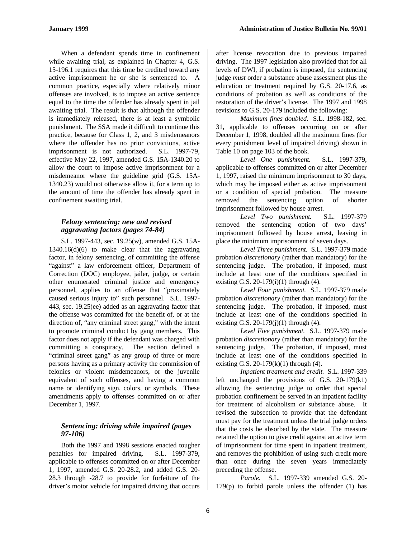When a defendant spends time in confinement while awaiting trial, as explained in Chapter 4, G.S. 15-196.1 requires that this time be credited toward any active imprisonment he or she is sentenced to. A common practice, especially where relatively minor offenses are involved, is to impose an active sentence equal to the time the offender has already spent in jail awaiting trial. The result is that although the offender is immediately released, there is at least a symbolic punishment. The SSA made it difficult to continue this practice, because for Class 1, 2, and 3 misdemeanors where the offender has no prior convictions, active imprisonment is not authorized. S.L. 1997-79, effective May 22, 1997, amended G.S. 15A-1340.20 to allow the court to impose active imprisonment for a misdemeanor where the guideline grid (G.S. 15A-1340.23) would not otherwise allow it, for a term up to the amount of time the offender has already spent in confinement awaiting trial.

#### *Felony sentencing: new and revised aggravating factors (pages 74-84)*

S.L. 1997-443, sec. 19.25(w), amended G.S. 15A-1340.16(d)(6) to make clear that the aggravating factor, in felony sentencing, of committing the offense "against" a law enforcement officer, Department of Correction (DOC) employee, jailer, judge, or certain other enumerated criminal justice and emergency personnel, applies to an offense that "proximately caused serious injury to" such personnel. S.L. 1997- 443, sec. 19.25(ee) added as an aggravating factor that the offense was committed for the benefit of, or at the direction of, "any criminal street gang," with the intent to promote criminal conduct by gang members. This factor does not apply if the defendant was charged with committing a conspiracy. The section defined a "criminal street gang" as any group of three or more persons having as a primary activity the commission of felonies or violent misdemeanors, or the juvenile equivalent of such offenses, and having a common name or identifying sign, colors, or symbols. These amendments apply to offenses committed on or after December 1, 1997.

#### *Sentencing: driving while impaired (pages 97-106)*

Both the 1997 and 1998 sessions enacted tougher penalties for impaired driving. S.L. 1997-379, applicable to offenses committed on or after December 1, 1997, amended G.S. 20-28.2, and added G.S. 20- 28.3 through -28.7 to provide for forfeiture of the driver's motor vehicle for impaired driving that occurs

after license revocation due to previous impaired driving. The 1997 legislation also provided that for all levels of DWI, if probation is imposed, the sentencing judge *must* order a substance abuse assessment plus the education or treatment required by G.S. 20-17.6, as conditions of probation as well as conditions of the restoration of the driver's license. The 1997 and 1998 revisions to G.S. 20-179 included the following:

*Maximum fines doubled.* S.L. 1998-182, sec. 31, applicable to offenses occurring on or after December 1, 1998, doubled all the maximum fines (for every punishment level of impaired driving) shown in Table 10 on page 103 of the book.

*Level One punishment.* S.L. 1997-379, applicable to offenses committed on or after December 1, 1997, raised the minimum imprisonment to 30 days, which may be imposed either as active imprisonment or a condition of special probation. The measure removed the sentencing option of shorter imprisonment followed by house arrest.

*Level Two punishment.* S.L. 1997-379 removed the sentencing option of two days' imprisonment followed by house arrest, leaving in place the minimum imprisonment of seven days.

*Level Three punishment.* S.L. 1997-379 made probation *discretionary* (rather than mandatory) for the sentencing judge. The probation, if imposed, must include at least one of the conditions specified in existing G.S.  $20-179(i)(1)$  through (4).

*Level Four punishment.* S.L. 1997-379 made probation *discretionary* (rather than mandatory) for the sentencing judge. The probation, if imposed, must include at least one of the conditions specified in existing G.S.  $20-179(i)(1)$  through (4).

*Level Five punishment.* S.L. 1997-379 made probation *discretionary* (rather than mandatory) for the sentencing judge. The probation, if imposed, must include at least one of the conditions specified in existing G.S.  $20-179(k)(1)$  through (4).

*Inpatient treatment and credit.* S.L. 1997-339 left unchanged the provisions of G.S. 20-179(k1) allowing the sentencing judge to order that special probation confinement be served in an inpatient facility for treatment of alcoholism or substance abuse. It revised the subsection to provide that the defendant must pay for the treatment unless the trial judge orders that the costs be absorbed by the state. The measure retained the option to give credit against an active term of imprisonment for time spent in inpatient treatment, and removes the prohibition of using such credit more than once during the seven years immediately preceding the offense.

*Parole.* S.L. 1997-339 amended G.S. 20- 179(p) to forbid parole unless the offender (1) has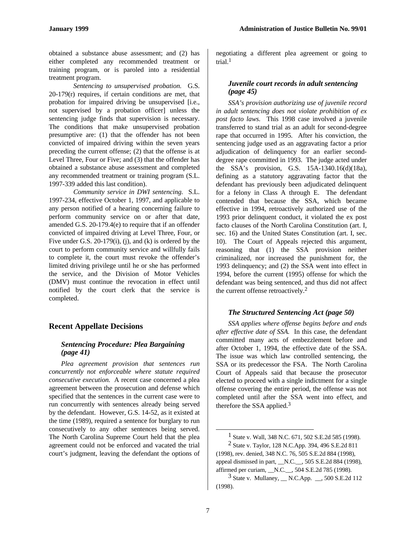obtained a substance abuse assessment; and (2) has either completed any recommended treatment or training program, or is paroled into a residential treatment program.

*Sentencing to unsupervised probation.* G.S.  $20-179(r)$  requires, if certain conditions are met, that probation for impaired driving be unsupervised [i.e., not supervised by a probation officer] unless the sentencing judge finds that supervision is necessary. The conditions that make unsupervised probation presumptive are: (1) that the offender has not been convicted of impaired driving within the seven years preceding the current offense; (2) that the offense is at Level Three, Four or Five; and (3) that the offender has obtained a substance abuse assessment and completed any recommended treatment or training program (S.L. 1997-339 added this last condition).

*Community service in DWI sentencing.* S.L. 1997-234, effective October 1, 1997, and applicable to any person notified of a hearing concerning failure to perform community service on or after that date, amended G.S. 20-179.4(e) to require that if an offender convicted of impaired driving at Level Three, Four, or Five under G.S. 20-179(i), (j), and (k) is ordered by the court to perform community service and willfully fails to complete it, the court must revoke the offender's limited driving privilege until he or she has performed the service, and the Division of Motor Vehicles (DMV) must continue the revocation in effect until notified by the court clerk that the service is completed.

#### **Recent Appellate Decisions**

#### *Sentencing Procedure: Plea Bargaining (page 41)*

*Plea agreement provision that sentences run concurrently not enforceable where statute required consecutive execution.* A recent case concerned a plea agreement between the prosecution and defense which specified that the sentences in the current case were to run concurrently with sentences already being served by the defendant. However, G.S. 14-52, as it existed at the time (1989), required a sentence for burglary to run consecutively to any other sentences being served. The North Carolina Supreme Court held that the plea agreement could not be enforced and vacated the trial court's judgment, leaving the defendant the options of negotiating a different plea agreement or going to trial<sup>1</sup>

#### *Juvenile court records in adult sentencing (page 45)*

*SSA's provision authorizing use of juvenile record in adult sentencing does not violate prohibition of ex post facto laws.* This 1998 case involved a juvenile transferred to stand trial as an adult for second-degree rape that occurred in 1995. After his conviction, the sentencing judge used as an aggravating factor a prior adjudication of delinquency for an earlier seconddegree rape committed in 1993. The judge acted under the SSA's provision, G.S. 15A-1340.16(d)(18a), defining as a statutory aggravating factor that the defendant has previously been adjudicated delinquent for a felony in Class A through E. The defendant contended that because the SSA, which became effective in 1994, retroactively authorized use of the 1993 prior delinquent conduct, it violated the ex post facto clauses of the North Carolina Constitution (art. I, sec. 16) and the United States Constitution (art. I, sec. 10). The Court of Appeals rejected this argument, reasoning that (1) the SSA provision neither criminalized, nor increased the punishment for, the 1993 delinquency; and (2) the SSA went into effect in 1994, before the current (1995) offense for which the defendant was being sentenced, and thus did not affect the current offense retroactively.<sup>2</sup>

#### *The Structured Sentencing Act (page 50)*

*SSA applies where offense begins before and ends after effective date of SSA.* In this case, the defendant committed many acts of embezzlement before and after October 1, 1994, the effective date of the SSA. The issue was which law controlled sentencing, the SSA or its predecessor the FSA. The North Carolina Court of Appeals said that because the prosecutor elected to proceed with a single indictment for a single offense covering the entire period, the offense was not completed until after the SSA went into effect, and therefore the SSA applied.<sup>3</sup>

<sup>&</sup>lt;sup>1</sup> State v. Wall, 348 N.C. 671, 502 S.E.2d 585 (1998).

<sup>2</sup> State v. Taylor, 128 N.C.App. 394, 496 S.E.2d 811 (1998), rev. denied, 348 N.C. 76, 505 S.E.2d 884 (1998), appeal dismissed in part, \_\_N.C.\_\_, 505 S.E.2d 884 (1998), affirmed per curiam, \_\_N.C.\_\_, 504 S.E.2d 785 (1998).

 $3$  State v. Mullaney,  $\_\_$  N.C.App.  $\_\_$ , 500 S.E.2d 112 (1998).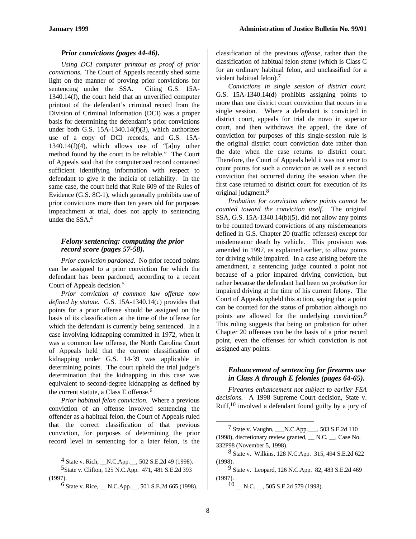#### *Prior convictions (pages 44-46).*

*Using DCI computer printout as proof of prior convictions.* The Court of Appeals recently shed some light on the manner of proving prior convictions for sentencing under the SSA. Citing G.S. 15A-1340.14(f), the court held that an unverified computer printout of the defendant's criminal record from the Division of Criminal Information (DCI) was a proper basis for determining the defendant's prior convictions under both G.S. 15A-1340.14(f)(3), which authorizes use of a copy of DCI records, and G.S. 15A-1340.14(f)(4), which allows use of "[a]ny other method found by the court to be reliable." The Court of Appeals said that the computerized record contained sufficient identifying information with respect to defendant to give it the indicia of reliability. In the same case, the court held that Rule 609 of the Rules of Evidence (G.S. 8C-1), which generally prohibits use of prior convictions more than ten years old for purposes impeachment at trial, does not apply to sentencing under the SSA.<sup>4</sup>

#### *Felony sentencing: computing the prior record score (pages 57-58).*

*Prior conviction pardoned.* No prior record points can be assigned to a prior conviction for which the defendant has been pardoned, according to a recent Court of Appeals decision.<sup>5</sup>

*Prior conviction of common law offense now defined by statute.* G.S. 15A-1340.14(c) provides that points for a prior offense should be assigned on the basis of its classification at the time of the offense for which the defendant is currently being sentenced. In a case involving kidnapping committed in 1972, when it was a common law offense, the North Carolina Court of Appeals held that the current classification of kidnapping under G.S. 14-39 was applicable in determining points. The court upheld the trial judge's determination that the kidnapping in this case was equivalent to second-degree kidnapping as defined by the current statute, a Class E offense.<sup>6</sup>

*Prior habitual felon conviction.* Where a previous conviction of an offense involved sentencing the offender as a habitual felon, the Court of Appeals ruled that the correct classification of that previous conviction, for purposes of determining the prior record level in sentencing for a later felon, is the

5State v. Clifton, 125 N.C.App. 471, 481 S.E.2d 393 (1997).

-

classification of the previous *offense*, rather than the classification of habitual felon *status* (which is Class C for an ordinary habitual felon, and unclassified for a violent habitual felon).<sup>7</sup>

*Convictions in single session of district court.* G.S. 15A-1340.14(d) prohibits assigning points to more than one district court conviction that occurs in a single session. Where a defendant is convicted in district court, appeals for trial de novo in superior court, and then withdraws the appeal, the date of conviction for purposes of this single-session rule is the original district court conviction date rather than the date when the case returns to district court. Therefore, the Court of Appeals held it was not error to count points for such a conviction as well as a second conviction that occurred during the session when the first case returned to district court for execution of its original judgment.<sup>8</sup>

*Probation for conviction where points cannot be counted toward the conviction itself.* The original SSA, G.S. 15A-1340.14(b)(5), did not allow any points to be counted toward convictions of any misdemeanors defined in G.S. Chapter 20 (traffic offenses) except for misdemeanor death by vehicle. This provision was amended in 1997, as explained earlier, to allow points for driving while impaired. In a case arising before the amendment, a sentencing judge counted a point not because of a prior impaired driving conviction, but rather because the defendant had been *on probation* for impaired driving at the time of his current felony. The Court of Appeals upheld this action, saying that a point can be counted for the status of probation although no points are allowed for the underlying conviction.<sup>9</sup> This ruling suggests that being on probation for other Chapter 20 offenses can be the basis of a prior record point, even the offenses for which conviction is not assigned any points.

#### *Enhancement of sentencing for firearms use in Class A through E felonies (pages 64-65).*

*Firearms enhancement not subject to earlier FSA decisions.* A 1998 Supreme Court decision, State v. Ruff,10 involved a defendant found guilty by a jury of

 $10$  \_\_ N.C. \_\_, 505 S.E.2d 579 (1998).

 $^{4}$  State v. Rich,  $\Box$  N.C.App.  $\Box$ , 502 S.E.2d 49 (1998).

 $6$  State v. Rice,  $\_\_$  N.C.App.  $\_\_$ , 501 S.E.2d 665 (1998).

<sup>7</sup> State v. Vaughn, \_\_\_N.C.App.\_\_\_, 503 S.E.2d 110 (1998), discretionary review granted, \_\_ N.C. \_\_, Case No. 332P98 (November 5, 1998).

<sup>8</sup> State v. Wilkins, 128 N.C.App. 315, 494 S.E.2d 622 (1998).

<sup>9</sup> State v. Leopard, 126 N.C.App. 82, 483 S.E.2d 469 (1997).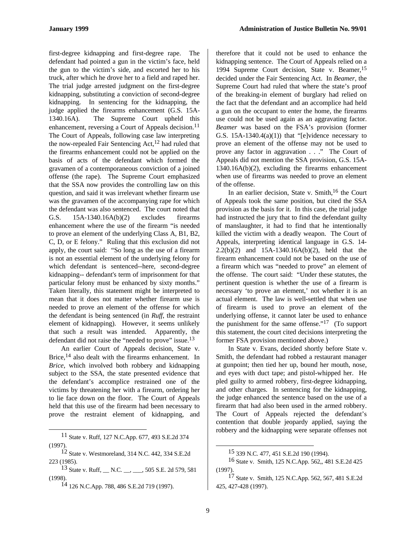first-degree kidnapping and first-degree rape. The defendant had pointed a gun in the victim's face, held the gun to the victim's side, and escorted her to his truck, after which he drove her to a field and raped her. The trial judge arrested judgment on the first-degree kidnapping, substituting a conviction of second-degree kidnapping. In sentencing for the kidnapping, the judge applied the firearms enhancement (G.S. 15A-1340.16A). The Supreme Court upheld this enhancement, reversing a Court of Appeals decision.<sup>11</sup> The Court of Appeals, following case law interpreting the now-repealed Fair Sentencing Act,<sup>12</sup> had ruled that the firearms enhancement could not be applied on the basis of acts of the defendant which formed the gravamen of a contemporaneous conviction of a joined offense (the rape). The Supreme Court emphasized that the SSA now provides the controlling law on this question, and said it was irrelevant whether firearm use was the gravamen of the accompanying rape for which the defendant was also sentenced. The court noted that G.S. 15A-1340.16A(b)(2) excludes firearms enhancement where the use of the firearm "is needed to prove an element of the underlying Class A, B1, B2, C, D, or E felony." Ruling that this exclusion did not apply, the court said: "So long as the use of a firearm is not an essential element of the underlying felony for which defendant is sentenced--here, second-degree kidnapping-- defendant's term of imprisonment for that particular felony must be enhanced by sixty months." Taken literally, this statement might be interpreted to mean that it does not matter whether firearm use is needed to prove an element of the offense for which the defendant is being sentenced (in *Ruff*, the restraint element of kidnapping). However, it seems unlikely that such a result was intended. Apparently, the defendant did not raise the "needed to prove" issue.<sup>13</sup>

An earlier Court of Appeals decision, State v. Brice,<sup>14</sup> also dealt with the firearms enhancement. In *Brice*, which involved both robbery and kidnapping subject to the SSA, the state presented evidence that the defendant's accomplice restrained one of the victims by threatening her with a firearm, ordering her to lie face down on the floor. The Court of Appeals held that this use of the firearm had been necessary to prove the restraint element of kidnapping, and

-

14 126 N.C.App. 788, 486 S.E.2d 719 (1997).

therefore that it could not be used to enhance the kidnapping sentence. The Court of Appeals relied on a 1994 Supreme Court decision, State v. Beamer,<sup>15</sup> decided under the Fair Sentencing Act. In *Beamer*, the Supreme Court had ruled that where the state's proof of the breaking-in element of burglary had relied on the fact that the defendant and an accomplice had held a gun on the occupant to enter the home, the firearms use could not be used again as an aggravating factor. *Beamer* was based on the FSA's provision (former G.S.  $15A-1340.4(a)(1)$  that "[e]vidence necessary to prove an element of the offense may not be used to prove any factor in aggravation . . ." The Court of Appeals did not mention the SSA provision, G.S. 15A-1340.16A(b)(2), excluding the firearms enhancement when use of firearms was needed to prove an element of the offense.

In an earlier decision, State v. Smith, $16$  the Court of Appeals took the same position, but cited the SSA provision as the basis for it. In this case, the trial judge had instructed the jury that to find the defendant guilty of manslaughter, it had to find that he intentionally killed the victim with a deadly weapon. The Court of Appeals, interpreting identical language in G.S. 14- 2.2(b)(2) and 15A-1340.16A(b)(2), held that the firearm enhancement could not be based on the use of a firearm which was "needed to prove" an element of the offense. The court said: "Under these statutes, the pertinent question is whether the use of a firearm is necessary 'to prove an element,' not whether it is an actual element. The law is well-settled that when use of firearm is used to prove an element of the underlying offense, it cannot later be used to enhance the punishment for the same offense."17 (To support this statement, the court cited decisions interpreting the former FSA provision mentioned above.)

In State v. Evans, decided shortly before State v. Smith, the defendant had robbed a restaurant manager at gunpoint; then tied her up, bound her mouth, nose, and eyes with duct tape; and pistol-whipped her. He pled guilty to armed robbery, first-degree kidnapping, and other charges. In sentencing for the kidnapping, the judge enhanced the sentence based on the use of a firearm that had also been used in the armed robbery. The Court of Appeals rejected the defendant's contention that double jeopardy applied, saying the robbery and the kidnapping were separate offenses not

<sup>11</sup> State v. Ruff, 127 N.C.App. 677, 493 S.E.2d 374 (1997).

<sup>12</sup> State v. Westmoreland, 314 N.C. 442, 334 S.E.2d 223 (1985).

<sup>13</sup> State v. Ruff, \_\_ N.C. \_\_, \_\_\_, 505 S.E. 2d 579, 581 (1998).

<sup>15 339</sup> N.C. 477, 451 S.E.2d 190 (1994).

<sup>16</sup> State v. Smith, 125 N.C.App. 562,, 481 S.E.2d 425  $(1997)$ 

<sup>17</sup> State v. Smith, 125 N.C.App. 562, 567, 481 S.E.2d 425, 427-428 (1997).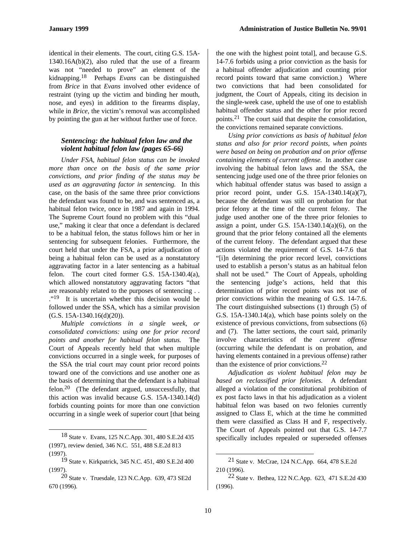identical in their elements. The court, citing G.S. 15A-1340.16A(b)(2), also ruled that the use of a firearm was not "needed to prove" an element of the kidnapping.18 Perhaps *Evans* can be distinguished from *Brice* in that *Evans* involved other evidence of restraint (tying up the victim and binding her mouth, nose, and eyes) in addition to the firearms display, while in *Brice*, the victim's removal was accomplished by pointing the gun at her without further use of force.

#### *Sentencing: the habitual felon law and the violent habitual felon law (pages 65-66)*

*Under FSA, habitual felon status can be invoked more than once on the basis of the same prior convictions, and prior finding of the status may be used as an aggravating factor in sentencing.* In this case, on the basis of the same three prior convictions the defendant was found to be, and was sentenced as, a habitual felon twice, once in 1987 and again in 1994. The Supreme Court found no problem with this "dual use," making it clear that once a defendant is declared to be a habitual felon, the status follows him or her in sentencing for subsequent felonies. Furthermore, the court held that under the FSA, a prior adjudication of being a habitual felon can be used as a nonstatutory aggravating factor in a later sentencing as a habitual felon. The court cited former G.S. 15A-1340.4(a), which allowed nonstatutory aggravating factors "that are reasonably related to the purposes of sentencing . . ."19 It is uncertain whether this decision would be followed under the SSA, which has a similar provision (G.S. 15A-1340.16(d)(20)).

*Multiple convictions in a single week, or consolidated convictions: using one for prior record points and another for habitual felon status.* The Court of Appeals recently held that when multiple convictions occurred in a single week, for purposes of the SSA the trial court may count prior record points toward one of the convictions and use another one as the basis of determining that the defendant is a habitual felon.20 (The defendant argued, unsuccessfully, that this action was invalid because G.S. 15A-1340.14(d) forbids counting points for more than one conviction occurring in a single week of superior court [that being

 $\overline{a}$ 

the one with the highest point total], and because G.S. 14-7.6 forbids using a prior conviction as the basis for a habitual offender adjudication and counting prior record points toward that same conviction.) Where two convictions that had been consolidated for judgment, the Court of Appeals, citing its decision in the single-week case, upheld the use of one to establish habitual offender status and the other for prior record points.21 The court said that despite the consolidation, the convictions remained separate convictions.

*Using prior convictions as basis of habitual felon status and also for prior record points, when points were based on being on probation and on prior offense containing elements of current offense.* In another case involving the habitual felon laws and the SSA, the sentencing judge used one of the three prior felonies on which habitual offender status was based to assign a prior record point, under G.S. 15A-1340.14(a)(7), because the defendant was still on probation for that prior felony at the time of the current felony. The judge used another one of the three prior felonies to assign a point, under G.S.  $15A-1340.14(a)(6)$ , on the ground that the prior felony contained all the elements of the current felony. The defendant argued that these actions violated the requirement of G.S. 14-7.6 that "[i]n determining the prior record level, convictions used to establish a person's status as an habitual felon shall not be used." The Court of Appeals, upholding the sentencing judge's actions, held that this determination of prior record points was not use of prior convictions within the meaning of G.S. 14-7.6. The court distinguished subsections (1) through (5) of G.S. 15A-1340.14(a), which base points solely on the existence of previous convictions, from subsections (6) and (7). The latter sections, the court said, primarily involve characteristics of the *current offense* (occurring while the defendant is on probation, and having elements contained in a previous offense) rather than the existence of prior convictions. $22$ 

*Adjudication as violent habitual felon may be based on reclassified prior felonies.* A defendant alleged a violation of the constitutional prohibition of ex post facto laws in that his adjudication as a violent habitual felon was based on two felonies currently assigned to Class E, which at the time he committed them were classified as Class H and F, respectively. The Court of Appeals pointed out that G.S. 14-7.7 specifically includes repealed or superseded offenses

<sup>18</sup> State v. Evans, 125 N.C.App. 301, 480 S.E.2d 435 (1997), review denied, 346 N.C. 551, 488 S.E.2d 813 (1997).

<sup>19</sup> State v. Kirkpatrick, 345 N.C. 451, 480 S.E.2d 400  $(1997)$ 

<sup>20</sup> State v. Truesdale, 123 N.C.App. 639, 473 SE2d 670 (1996).

<sup>21</sup> State v. McCrae, 124 N.C.App. 664, 478 S.E.2d 210 (1996).

<sup>22</sup> State v. Bethea, 122 N.C.App. 623, 471 S.E.2d 430 (1996).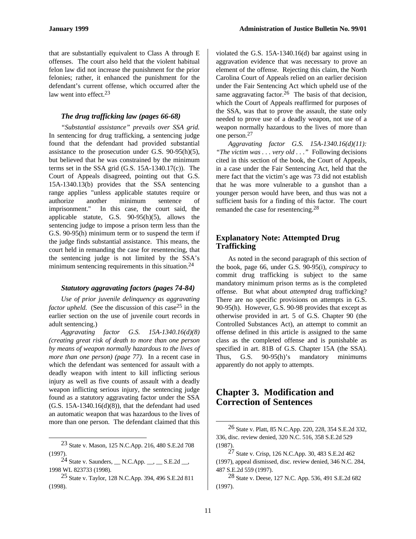that are substantially equivalent to Class A through E offenses. The court also held that the violent habitual felon law did not increase the punishment for the prior felonies; rather, it enhanced the punishment for the defendant's current offense, which occurred after the law went into effect.<sup>23</sup>

#### *The drug trafficking law (pages 66-68)*

*"Substantial assistance" prevails over SSA grid.* In sentencing for drug trafficking, a sentencing judge found that the defendant had provided substantial assistance to the prosecution under G.S. 90-95(h)(5), but believed that he was constrained by the minimum terms set in the SSA grid (G.S. 15A-1340.17(c)). The Court of Appeals disagreed, pointing out that G.S. 15A-1340.13(b) provides that the SSA sentencing range applies "unless applicable statutes require or authorize another minimum sentence of imprisonment." In this case, the court said, the applicable statute, G.S. 90-95(h)(5), allows the sentencing judge to impose a prison term less than the G.S. 90-95(h) minimum term or to suspend the term if the judge finds substantial assistance. This means, the court held in remanding the case for resentencing, that the sentencing judge is not limited by the SSA's minimum sentencing requirements in this situation.<sup>24</sup>

#### *Statutory aggravating factors (pages 74-84)*

*Use of prior juvenile delinquency as aggravating factor upheld.* (See the discussion of this case<sup>25</sup> in the earlier section on the use of juvenile court records in adult sentencing.)

*Aggravating factor G.S. 15A-1340.16(d)(8) (creating great risk of death to more than one person by means of weapon normally hazardous to the lives of more than one person) (page 77).* In a recent case in which the defendant was sentenced for assault with a deadly weapon with intent to kill inflicting serious injury as well as five counts of assault with a deadly weapon inflicting serious injury, the sentencing judge found as a statutory aggravating factor under the SSA  $(G.S. 15A-1340.16(d)(8))$ , that the defendant had used an automatic weapon that was hazardous to the lives of more than one person. The defendant claimed that this

 $\overline{a}$ 

violated the G.S. 15A-1340.16(d) bar against using in aggravation evidence that was necessary to prove an element of the offense. Rejecting this claim, the North Carolina Court of Appeals relied on an earlier decision under the Fair Sentencing Act which upheld use of the same aggravating factor.<sup>26</sup> The basis of that decision, which the Court of Appeals reaffirmed for purposes of the SSA, was that to prove the assault, the state only needed to prove use of a deadly weapon, not use of a weapon normally hazardous to the lives of more than one person.<sup>27</sup>

*Aggravating factor G.S. 15A-1340.16(d)(11): "The victim was . . . very old . . ."* Following decisions cited in this section of the book, the Court of Appeals, in a case under the Fair Sentencing Act, held that the mere fact that the victim's age was 73 did not establish that he was more vulnerable to a gunshot than a younger person would have been, and thus was not a sufficient basis for a finding of this factor. The court remanded the case for resentencing.<sup>28</sup>

#### **Explanatory Note: Attempted Drug Trafficking**

As noted in the second paragraph of this section of the book, page 66, under G.S. 90-95(i), *conspiracy* to commit drug trafficking is subject to the same mandatory minimum prison terms as is the completed offense. But what about *attempted* drug trafficking? There are no specific provisions on attempts in G.S. 90-95(h). However, G.S. 90-98 provides that except as otherwise provided in art. 5 of G.S. Chapter 90 (the Controlled Substances Act), an attempt to commit an offense defined in this article is assigned to the same class as the completed offense and is punishable as specified in art. 81B of G.S. Chapter 15A (the SSA). Thus, G.S. 90-95(h)'s mandatory minimums apparently do not apply to attempts.

# **Chapter 3. Modification and Correction of Sentences**

<sup>23</sup> State v. Mason, 125 N.C.App. 216, 480 S.E.2d 708 (1997).

<sup>&</sup>lt;sup>24</sup> State v. Saunders,  $\_\_$  N.C.App.  $\_\_$ ,  $\_\_$  S.E.2d  $\_\_$ 1998 WL 823733 (1998).

 $^{25}$  State v. Taylor, 128 N.C.App. 394, 496 S.E.2d 811 (1998).

<sup>26</sup> State v. Platt, 85 N.C.App. 220, 228, 354 S.E.2d 332, 336, disc. review denied, 320 N.C. 516, 358 S.E.2d 529 (1987).

<sup>27</sup> State v. Crisp, 126 N.C.App. 30, 483 S.E.2d 462 (1997), appeal dismissed, disc. review denied, 346 N.C. 284, 487 S.E.2d 559 (1997).

<sup>28</sup> State v. Deese, 127 N.C. App. 536, 491 S.E.2d 682 (1997).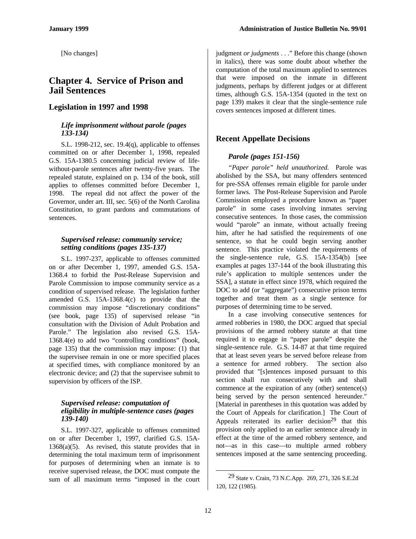[No changes]

# **Chapter 4. Service of Prison and Jail Sentences**

### **Legislation in 1997 and 1998**

#### *Life imprisonment without parole (pages 133-134)*

S.L. 1998-212, sec. 19.4(q), applicable to offenses committed on or after December 1, 1998, repealed G.S. 15A-1380.5 concerning judicial review of lifewithout-parole sentences after twenty-five years. The repealed statute, explained on p. 134 of the book, still applies to offenses committed before December 1, 1998. The repeal did not affect the power of the Governor, under art. III, sec. 5(6) of the North Carolina Constitution, to grant pardons and commutations of sentences.

#### *Supervised release: community service; setting conditions (pages 135-137)*

S.L. 1997-237, applicable to offenses committed on or after December 1, 1997, amended G.S. 15A-1368.4 to forbid the Post-Release Supervision and Parole Commission to impose community service as a condition of supervised release. The legislation further amended G.S. 15A-1368.4(c) to provide that the commission may impose "discretionary conditions" (see book, page 135) of supervised release "in consultation with the Division of Adult Probation and Parole." The legislation also revised G.S. 15A-1368.4(e) to add two "controlling conditions" (book, page 135) that the commission may impose: (1) that the supervisee remain in one or more specified places at specified times, with compliance monitored by an electronic device; and (2) that the supervisee submit to supervision by officers of the ISP.

#### *Supervised release: computation of eligibility in multiple-sentence cases (pages 139-140)*

S.L. 1997-327, applicable to offenses committed on or after December 1, 1997, clarified G.S. 15A-1368(a)(5). As revised, this statute provides that in determining the total maximum term of imprisonment for purposes of determining when an inmate is to receive supervised release, the DOC must compute the sum of all maximum terms "imposed in the court judgment *or judgments* . . ." Before this change (shown in italics), there was some doubt about whether the computation of the total maximum applied to sentences that were imposed on the inmate in different judgments, perhaps by different judges or at different times, although G.S. 15A-1354 (quoted in the text on page 139) makes it clear that the single-sentence rule covers sentences imposed at different times.

# **Recent Appellate Decisions**

#### *Parole (pages 151-156)*

*"Paper parole" held unauthorized.* Parole was abolished by the SSA, but many offenders sentenced for pre-SSA offenses remain eligible for parole under former laws. The Post-Release Supervision and Parole Commission employed a procedure known as "paper parole" in some cases involving inmates serving consecutive sentences. In those cases, the commission would "parole" an inmate, without actually freeing him, after he had satisfied the requirements of one sentence, so that he could begin serving another sentence. This practice violated the requirements of the single-sentence rule, G.S. 15A-1354(b) [see examples at pages 137-144 of the book illustrating this rule's application to multiple sentences under the SSA], a statute in effect since 1978, which required the DOC to add (or "aggregate") consecutive prison terms together and treat them as a single sentence for purposes of determining time to be served.

In a case involving consecutive sentences for armed robberies in 1980, the DOC argued that special provisions of the armed robbery statute at that time required it to engage in "paper parole" despite the single-sentence rule. G.S. 14-87 at that time required that at least seven years be served before release from a sentence for armed robbery. The section also provided that "[s]entences imposed pursuant to this section shall run consecutively with and shall commence at the expiration of any (other) sentence(s) being served by the person sentenced hereunder." [Material in parentheses in this quotation was added by the Court of Appeals for clarification.] The Court of Appeals reiterated its earlier decision<sup>29</sup> that this provision only applied to an earlier sentence already in effect at the time of the armed robbery sentence, and not—as in this case—to multiple armed robbery sentences imposed at the same sentencing proceeding.

<sup>29</sup> State v. Crain, 73 N.C.App. 269, 271, 326 S.E.2d 120, 122 (1985).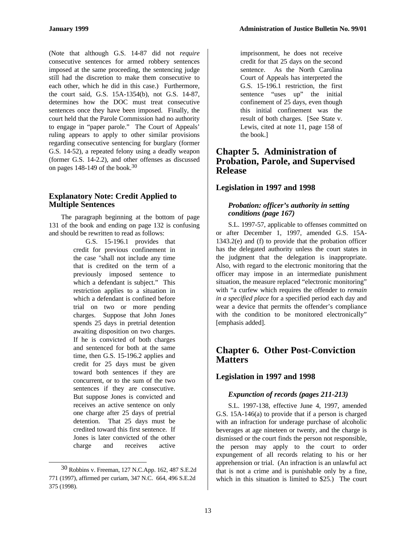(Note that although G.S. 14-87 did not *require* consecutive sentences for armed robbery sentences imposed at the same proceeding, the sentencing judge still had the discretion to make them consecutive to each other, which he did in this case.) Furthermore, the court said, G.S. 15A-1354(b), not G.S. 14-87, determines how the DOC must treat consecutive sentences once they have been imposed. Finally, the court held that the Parole Commission had no authority to engage in "paper parole." The Court of Appeals' ruling appears to apply to other similar provisions regarding consecutive sentencing for burglary (former G.S. 14-52), a repeated felony using a deadly weapon (former G.S. 14-2.2), and other offenses as discussed on pages 148-149 of the book.<sup>30</sup>

#### **Explanatory Note: Credit Applied to Multiple Sentences**

The paragraph beginning at the bottom of page 131 of the book and ending on page 132 is confusing and should be rewritten to read as follows:

> G.S. 15-196.1 provides that credit for previous confinement in the case "shall not include any time that is credited on the term of a previously imposed sentence to which a defendant is subject." This restriction applies to a situation in which a defendant is confined before trial on two or more pending charges. Suppose that John Jones spends 25 days in pretrial detention awaiting disposition on two charges. If he is convicted of both charges and sentenced for both at the same time, then G.S. 15-196.2 applies and credit for 25 days must be given toward both sentences if they are concurrent, or to the sum of the two sentences if they are consecutive. But suppose Jones is convicted and receives an active sentence on only one charge after 25 days of pretrial detention. That 25 days must be credited toward this first sentence. If Jones is later convicted of the other charge and receives active

-

imprisonment, he does not receive credit for that 25 days on the second sentence. As the North Carolina Court of Appeals has interpreted the G.S. 15-196.1 restriction, the first sentence "uses up" the initial confinement of 25 days, even though this initial confinement was the result of both charges. [See State v. Lewis, cited at note 11, page 158 of the book.]

# **Chapter 5. Administration of Probation, Parole, and Supervised Release**

#### **Legislation in 1997 and 1998**

#### *Probation: officer's authority in setting conditions (page 167)*

S.L. 1997-57, applicable to offenses committed on or after December 1, 1997, amended G.S. 15A-1343.2(e) and (f) to provide that the probation officer has the delegated authority unless the court states in the judgment that the delegation is inappropriate. Also, with regard to the electronic monitoring that the officer may impose in an intermediate punishment situation, the measure replaced "electronic monitoring" with "a curfew which requires the offender to *remain in a specified place* for a specified period each day and wear a device that permits the offender's compliance with the condition to be monitored electronically" [emphasis added].

# **Chapter 6. Other Post-Conviction Matters**

#### **Legislation in 1997 and 1998**

#### *Expunction of records (pages 211-213)*

S.L. 1997-138, effective June 4, 1997, amended G.S. 15A-146(a) to provide that if a person is charged with an infraction for underage purchase of alcoholic beverages at age nineteen or twenty, and the charge is dismissed or the court finds the person not responsible, the person may apply to the court to order expungement of all records relating to his or her apprehension or trial. (An infraction is an unlawful act that is not a crime and is punishable only by a fine, which in this situation is limited to \$25.) The court

<sup>30</sup> Robbins v. Freeman, 127 N.C.App. 162, 487 S.E.2d 771 (1997), affirmed per curiam, 347 N.C. 664, 496 S.E.2d 375 (1998).